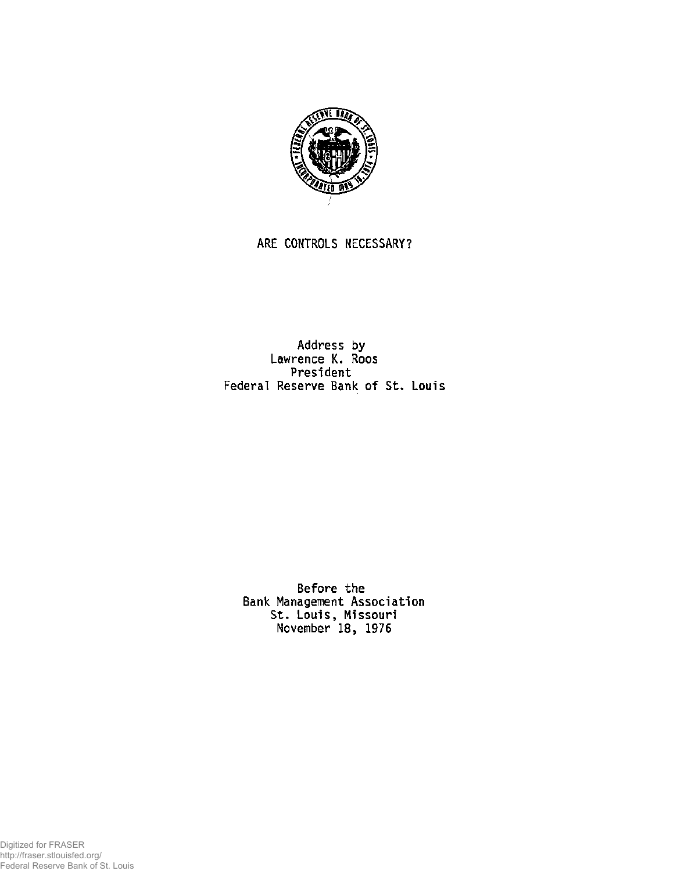

## **ARE CONTROLS NECESSARY?**

**Address by Lawrence K. Roos President Federal Reserve Bank of St. Louis** 

**Before the Bank Management Association St. Louis, Missouri November 18, 1976** 

Digitized for FRASER http://fraser.stlouisfed.org/ Federal Reserve Bank of St. Louis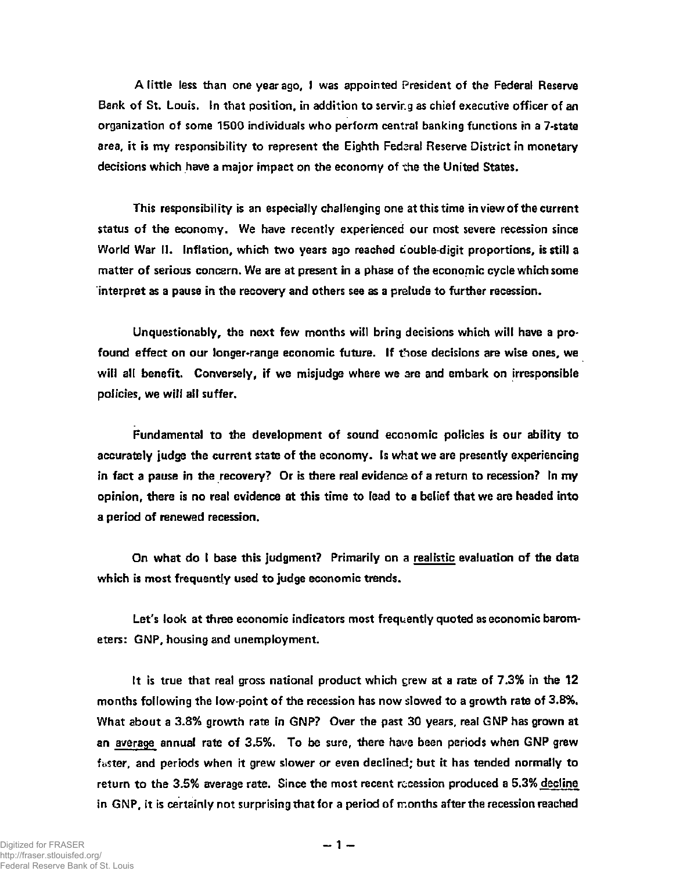**A little less than one year ago, I was appointed President of the Federal Reserve Bank of St. Louis. In that position, in addition to servir.g as chief executive officer of an organization of some 1500 individuals who perform central banking functions in a 7-state**  area, it is my responsibility to represent the Eighth Fedaral Reserve District in monetary **decisions which have a major impact on the economy of the the United States.** 

**This responsibility is an especially challenging one at this time in view of the current status of the economy. We have recently experienced our most severe recession since**  World War II. Inflation, which two years ago reached double-digit proportions, is still a **matter of serious concern. We are at present in a phase of the economic cycle which some interpret as a pause in the recovery and others see as a prelude to further recession.** 

**Unquestionably, the next few months will bring decisions which will have a profound effect on our longer-range economic future. If those decisions are wise ones, we will all benefit. Conversely, if we misjudge where we are and embark on irresponsible policies, we will all suffer.** 

**Fundamental to the development of sound economic policies is our ability to accurately judge the current state of the economy. Is what we are presently experiencing in fact a pause in the recovery? Or is there real evidence of a return to recession? In my opinion, there is no real evidence at this time to lead to a belief that we are headed into a period of renewed recession.** 

**On what do I base this judgment? Primarily on a realistic evaluation of the data which is most frequently used to judge economic trends.** 

**Let's look at three economic indicators most frequently quoted as economic barometers: GNP, housing and unemployment.** 

**It is true that real gross national product which grew at a rate of 7.3% in the 12 months following the low-point of the recession has now slowed to a growth rate of 3.8%. What about a 3.8% growth rate in GNP? Over the past 30 years, real GNP has grown at an average annual rate of 3.5%. To be sure, there have been periods when GNP grew faster, and periods when it grew slower or even declined; but it has tended normally to return to the 3.5% average rate. Since the most recent recession produced a 5.3% decline in GNP, it is certainly not surprising that for a period of months after the recession reached**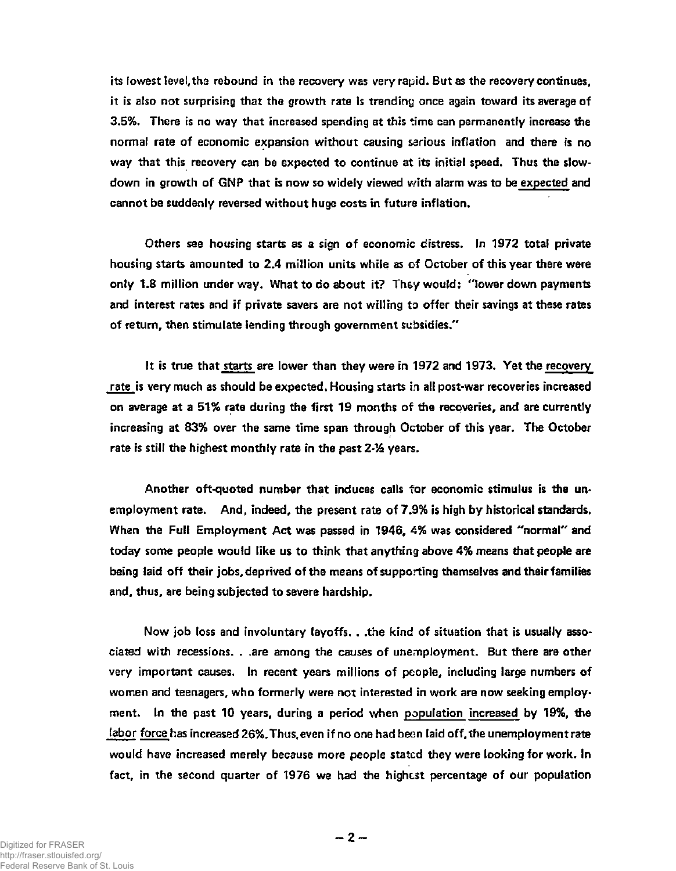**its lowest level,the rebound in the recovery was very rapid. But as the recovery continues, it is also not surprising that the growth rate is trending once again toward its average of 3.5%. There is no way that increased spending at this time can permanently increase the normal rate of economic expansion without causing serious inflation and there is no way that this recovery can be expected to continue at its initial speed. Thus the slowdown in growth of GNP that is now so widely viewed with alarm was to be expected and cannot be suddenly reversed without huge costs in future inflation.** 

**Others see housing starts as a sign of economic distress. In 1972 total private housing starts amounted to 2.4 million units while as of October of this year there were only 1.8 million under way. What to do about it? They would: "lower down payments and interest rates and if private savers are not willing to offer their savings at these rates of return, then stimulate lending through government subsidies."** 

**It is true that starts are lower than they were in 1972 and 1973. Yet the recovery rate is very much as should be expected. Housing starts in all post-war recoveries increased on average at a 51% rate during the first 19 months of the recoveries, and are currently increasing at 83% over the same time span through October of this year. The October**  rate is still the highest monthly rate in the past 2-<sup>1</sup>/<sub>2</sub> years.

**Another oft-quoted number that induces calls for economic stimulus is the unemployment rate. And, indeed, the present rate of 7.9% is high by historical standards. When the Full Employment Act was passed in 1946, 4% was considered "normal" and today some people would like us to think that anything above 4% means that people are being laid off their jobs, deprived of the means of supporting themselves and their families and, thus, are being subjected to severe hardship.** 

**Now job loss and involuntary layoffs, . .the kind of situation that is usually associated with recessions. . .are among the causes of unemployment. But there are other very important causes. In recent years millions of people, including large numbers of women and teenagers, who formerly were not interested in work are now seeking employment. In the past 10 years, during a period when population increased by 19%, the labor force has increased 26%. Thus, even if no one had beon laid off, the unemployment rate would have increased merely because more people stated they were looking for work. In fact, in the second quarter of 1976 we had the highest percentage of our population**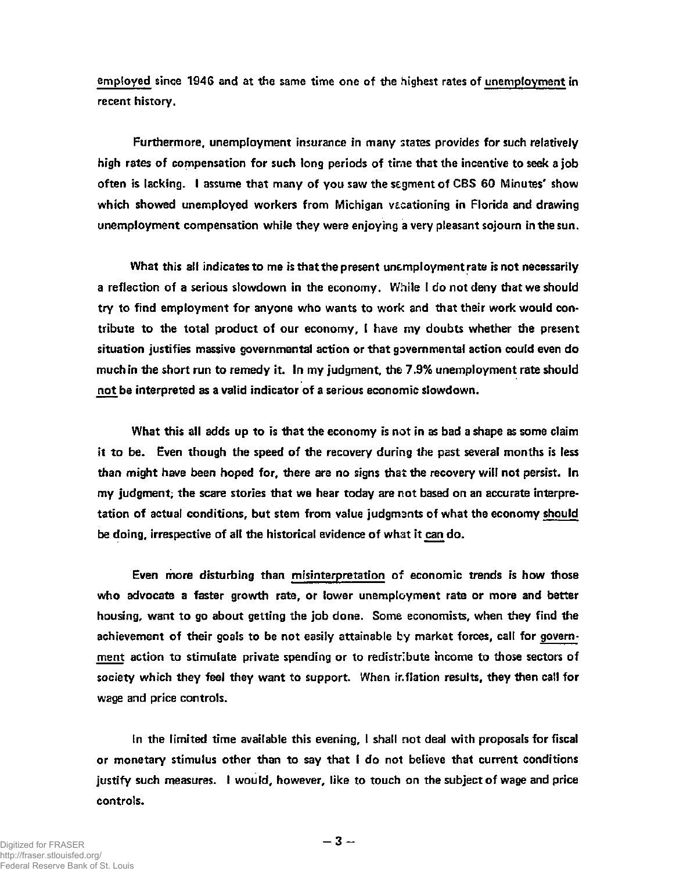**employed since 194G and at the same time one of the highest rates of unemployment in recent history.** 

**Furthermore, unemployment insurance in many states provides for such relatively high rates of compensation for such long periods of time that the incentive to seek a job often is lacking. I assume that many of you saw the segment of CBS 60 Minutes' show**  which showed unemployed workers from Michigan vacationing in Florida and drawing **unemployment compensation while they were enjoying a very pleasant sojourn in the sun.** 

**What this all indicates to me is that the present unemployment rate is not necessarily a reflection of a serious slowdown in the economy. While I do not deny that we should try to find employment for anyone who wants to work and that their work would contribute to the total product of our economy, I have my doubts whether the present situation justifies massive governmental action or that governmental action could even do much in the short run to remedy it. In my judgment, the 7.9% unemployment rate should not be interpreted as a valid indicator of a serious economic slowdown** 

**What this all adds up to is that the economy is not in as bad a shape as some claim it to be. Even though the speed of the recovery during the past several months is less than might have been hoped for, there are no signs that the recovery will not persist. In my judgment, the scare stories that we hear today are not based on an accurate interpretation of actual conditions, but stem from value judgmants of what the economy should be doing, irrespective of all the historical evidence of what it can do.** 

**Even more disturbing than misinterpretation of economic trends is how those who advocate a faster growth rate, or lower unemployment rate or more and better housing, want to go about getting the job done. Some economists, when they find the achievement of their goals to be not easily attainable by market forces, call for government action to stimulate private spending or to redistribute income to those sectors of society which they feel they want to support. When inflation results, they then call for wage and price controls.** 

**In the limited time available this evening, I shall not deal with proposals for fiscal or monetary stimulus other than to say that I do not believe that current conditions justify such measures. I would, however, like to touch on the subject of wage and price controls.**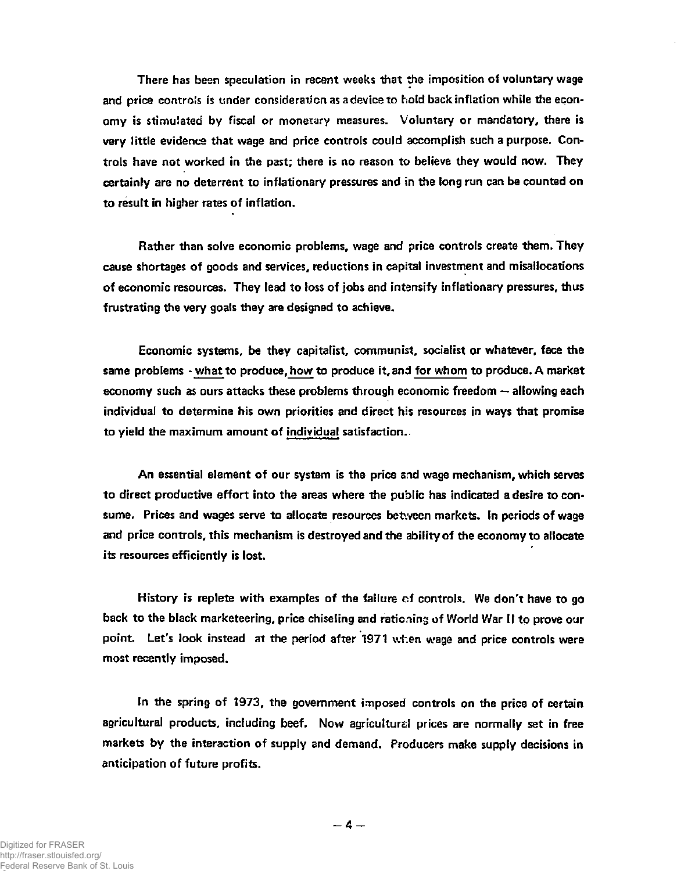**There has been speculation in recent weeks that the imposition of voluntary wage and price controls is under consideration as a device to hold back inflation while the economy is stimulated by fiscal or monetary measures. Voluntary or mandatory, there is very little evidence that wage and price controls could accomplish such a purpose. Controls have not worked in the past; there is no reason to believe they would now. They certainly are no deterrent to inflationary pressures and in the long run can be counted on to result in higher rates of inflation.** 

**Rather than solve economic problems, wage and price controls create them. They cause shortages of goods and services, reductions in capital investment and misallocations of economic resources. They lead to loss of jobs and intensify inflationary pressures, thus frustrating the very goals they are designed to achieve.** 

**Economic systems, be they capitalist, communist, socialist or whatever, face the same problems - what to produce, how to produce it, and for whom to produce. A market economy such as ours attacks these problems through economic freedom — allowing each individual to determine his own priorities and direct his resources in ways that promise to yield the maximum amount of individual satisfaction.** 

**An essential element of our system is the price and wage mechanism, which serves to direct productive effort into the areas where the public has indicated a desire to consume. Prices and wages serve to allocate resources between markets. In periods of wage and price controls, this mechanism is destroyed and the ability of the economy to allocate its resources efficiently is lost.** 

**History is replete with examples of the failure of controls. We don't have to go back to the black marketeering, price chiseling and rationing of World War II to prove our point. Let's look instead at the period after 1971 when wage and price controls were most recently imposed.** 

**In the spring of 1973, the government imposed controls on the price of certain agricultural products, including beef. Now agriculture! prices are normally set in free markets by the interaction of supply and demand. Producers make supply decisions in anticipation of future profits.**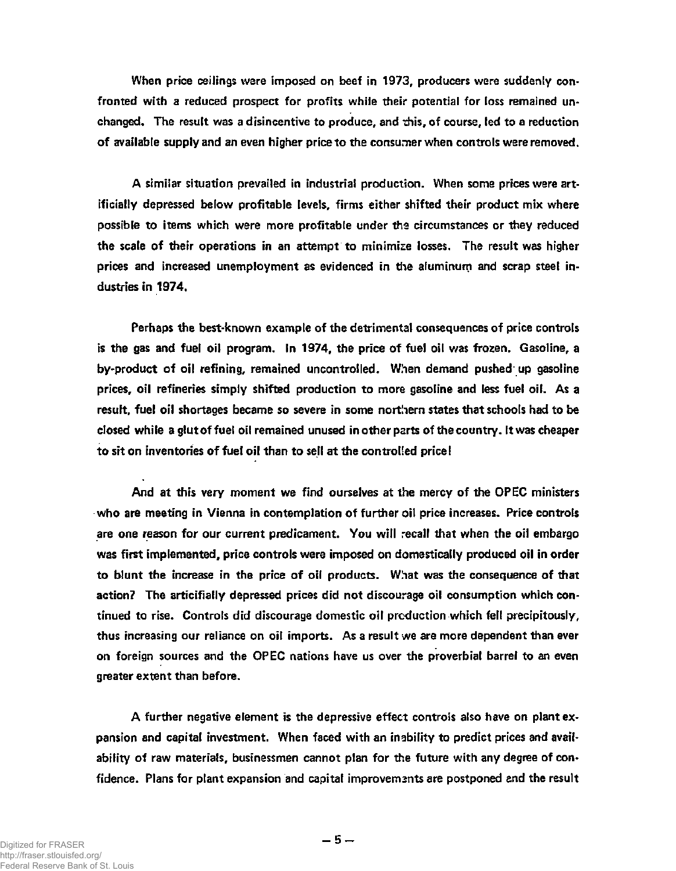**When price ceilings were imposed on beef in 1973, producers were suddenly confronted with a reduced prospect for profits while their potential for loss remained unchanged. The result was a disincentive to produce, and this, of course, led to a reduction of available supply and an even higher price to the consumer when controls were removed.** 

**A similar situation prevailed in industrial production. When some prices were artificially depressed below profitable levels, firms either shifted their product mix where possible to items which were more profitable under the circumstances or they reduced the scale of their operations in an attempt to minimize losses. The result was higher prices and increased unemployment as evidenced in the aluminum and scrap steel industries in 1974.** 

**Perhaps the best-known example of the detrimental consequences of price controls is the gas and fuel oil program. In 1974, the price of fuel oil was frozen. Gasoline, a by-product of oil refining, remained uncontrolled. When demand pushed up gasoline prices, oil refineries simply shifted production to more gasoline and less fuel oil. As a result, fuel oil shortages became so severe in some northern states that schools had to be closed while a glut of fuel oil remained unused in other parts of the country. It was cheaper to sit on inventories of fuel oil than to sell at the controlled price!** 

**And at this very moment we find ourselves at the mercy of the OPEC ministers who are meeting in Vienna in contemplation of further oil price increases. Price controls are one reason for our current predicament. You will recall that when the oil embargo was first implemented, price controls were imposed on domestically produced oil in order to blunt the increase in the price of oil products. What was the consequence of that action? The articifially depressed prices did not discourage oil consumption which continued to rise. Controls did discourage domestic oil production which fell precipitously, thus increasing our reliance on oil imports. As a result we are more dependent than ever on foreign sources and the OPEC nations have us over the proverbial barrel to an even greater extent than before.** 

**A further negative element is the depressive effect controls also have on plant expansion and capital investment. When faced with an inability to predict prices and availability of raw materials, businessmen cannot plan for the future with any degree of confidence. Plans for plant expansion and capital improvements are postponed and the result**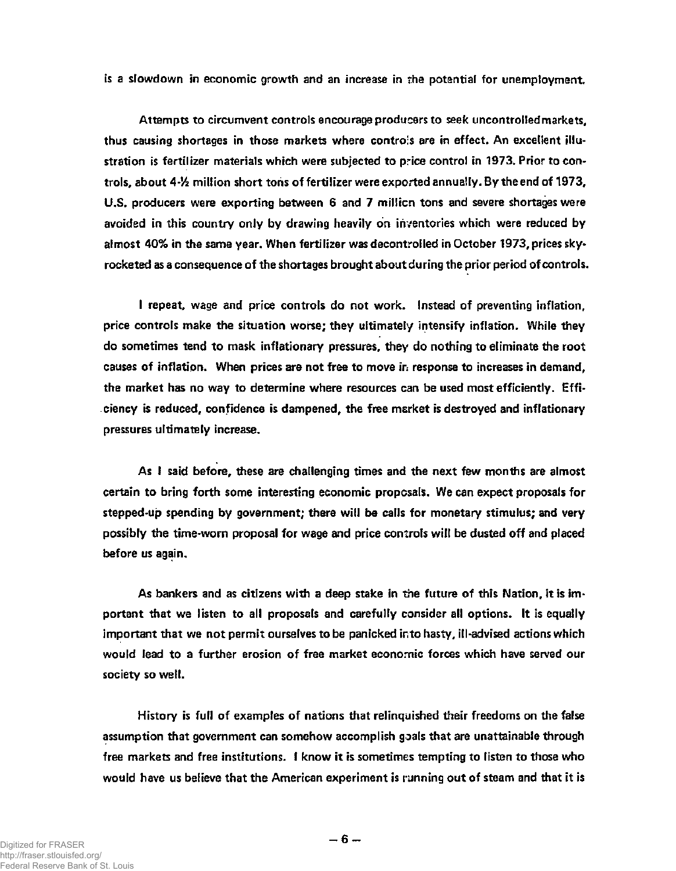**is a slowdown in economic growth and an increase in the potential for unemployment.** 

**Attempts to circumvent controls encourage producers to seek uncontrolled markets,**  thus causing shortages in those markets where controls are in effect. An excellent illu**stration is fertilizer materials which were subjected to price control in 1973. Prior to controls, about 4-% million short tons of fertilizer were exported annually. By the end of 1973,**  U.S. producers were exporting between 6 and 7 million tons and severe shortages were **avoided in this country only by drawing heavily on inventories which were reduced by almost 40% in the same year. When fertilizer was decontrolled in October 1973, prices skyrocketed as a consequence of the shortages brought about during the prior period of controls.** 

**I repeat, wage and price controls do not work. Instead of preventing inflation, price controls make the situation worse; they ultimately intensify inflation. While they do sometimes tend to mask inflationary pressures, they do nothing to eliminate the root causes of inflation. When prices are not free to move in response to increases in demand, the market has no way to determine where resources can be used most efficiently. Efficiency is reduced, confidence is dampened, the free market is destroyed and inflationary pressures ultimately increase.** 

**As I said before, these are challenging times and the next few months are almost certain to bring forth some interesting economic proposals. We can expect proposals for stepped-up spending by government; there will be calls for monetary stimulus; and very possibly the time-worn proposal for wage and price controls will be dusted off and placed before us again.** 

**As bankers and as citizens with a deep stake in the future of this Nation, it is important that we listen to all proposals and carefully consider all options. It is equally important that we not permit ourselves to be panicked into hasty, ill-advised actions which would lead to a further erosion of free market economic forces which have served our society so well.** 

**History is full of examples of nations that relinquished their freedoms on the false assumption that government can somehow accomplish goals that are unattainable through free markets and free institutions. I know it is sometimes tempting to listen to those who would have us believe that the American experiment is running out of steam and that it is**